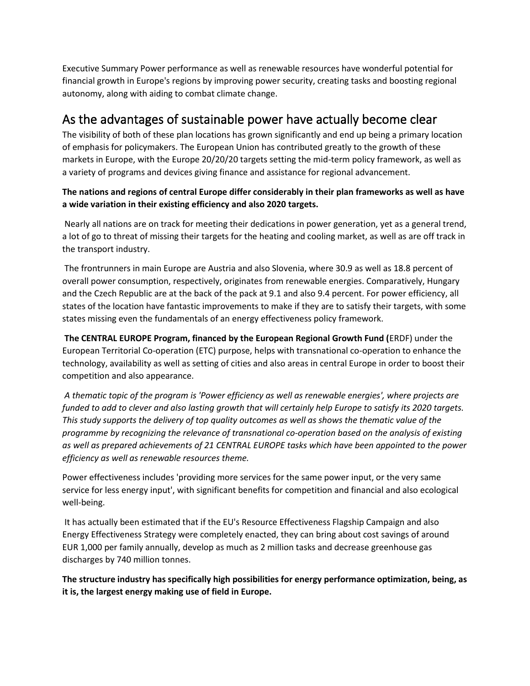Executive Summary Power performance as well as renewable resources have wonderful potential for financial growth in Europe's regions by improving power security, creating tasks and boosting regional autonomy, along with aiding to combat climate change.

## As the advantages of sustainable power have actually become clear

The visibility of both of these plan locations has grown significantly and end up being a primary location of emphasis for policymakers. The European Union has contributed greatly to the growth of these markets in Europe, with the Europe 20/20/20 targets setting the mid-term policy framework, as well as a variety of programs and devices giving finance and assistance for regional advancement.

**The nations and regions of central Europe differ considerably in their plan frameworks as well as have a wide variation in their existing efficiency and also 2020 targets.**

Nearly all nations are on track for meeting their dedications in power generation, yet as a general trend, a lot of go to threat of missing their targets for the heating and cooling market, as well as are off track in the transport industry.

The frontrunners in main Europe are Austria and also Slovenia, where 30.9 as well as 18.8 percent of overall power consumption, respectively, originates from renewable energies. Comparatively, Hungary and the Czech Republic are at the back of the pack at 9.1 and also 9.4 percent. For power efficiency, all states of the location have fantastic improvements to make if they are to satisfy their targets, with some states missing even the fundamentals of an energy effectiveness policy framework.

**The CENTRAL EUROPE Program, financed by the European Regional Growth Fund (**ERDF) under the European Territorial Co-operation (ETC) purpose, helps with transnational co-operation to enhance the technology, availability as well as setting of cities and also areas in central Europe in order to boost their competition and also appearance.

*A thematic topic of the program is 'Power efficiency as well as renewable energies', where projects are funded to add to clever and also lasting growth that will certainly help Europe to satisfy its 2020 targets. This study supports the delivery of top quality outcomes as well as shows the thematic value of the programme by recognizing the relevance of transnational co-operation based on the analysis of existing as well as prepared achievements of 21 CENTRAL EUROPE tasks which have been appointed to the power efficiency as well as renewable resources theme.* 

Power effectiveness includes 'providing more services for the same power input, or the very same service for less energy input', with significant benefits for competition and financial and also ecological well-being.

It has actually been estimated that if the EU's Resource Effectiveness Flagship Campaign and also Energy Effectiveness Strategy were completely enacted, they can bring about cost savings of around EUR 1,000 per family annually, develop as much as 2 million tasks and decrease greenhouse gas discharges by 740 million tonnes.

**The structure industry has specifically high possibilities for energy performance optimization, being, as it is, the largest energy making use of field in Europe.**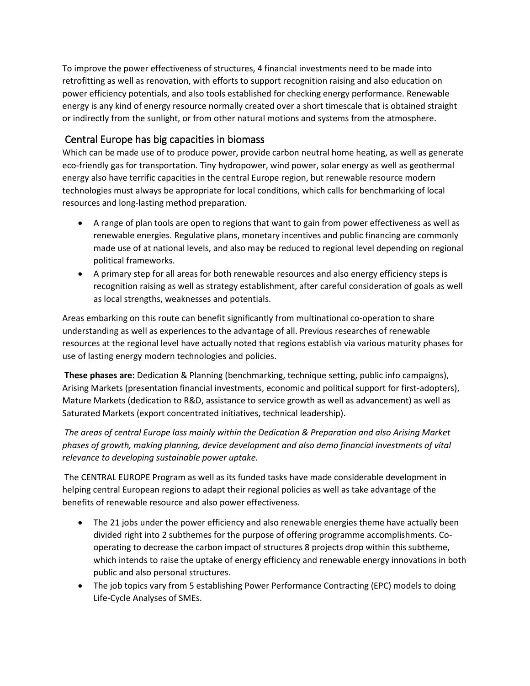To improve the power effectiveness of structures, 4 financial investments need to be made into retrofitting as well as renovation, with efforts to support recognition raising and also education on power efficiency potentials, and also tools established for checking energy performance. Renewable energy is any kind of energy resource normally created over a short timescale that is obtained straight or indirectly from the sunlight, or from other natural motions and systems from the atmosphere.

## Central Europe has big capacities in biomass

Which can be made use of to produce power, provide carbon neutral home heating, as well as generate eco-friendly gas for transportation. Tiny hydropower, wind power, solar energy as well as geothermal energy also have terrific capacities in the central Europe region, but renewable resource modern technologies must always be appropriate for local conditions, which calls for benchmarking of local resources and long-lasting method preparation.

- A range of plan tools are open to regions that want to gain from power effectiveness as well as renewable energies. Regulative plans, monetary incentives and public financing are commonly made use of at national levels, and also may be reduced to regional level depending on regional political frameworks.
- A primary step for all areas for both renewable resources and also energy efficiency steps is recognition raising as well as strategy establishment, after careful consideration of goals as well as local strengths, weaknesses and potentials.

Areas embarking on this route can benefit significantly from multinational co-operation to share understanding as well as experiences to the advantage of all. Previous researches of renewable resources at the regional level have actually noted that regions establish via various maturity phases for use of lasting energy modern technologies and policies.

**These phases are:** Dedication & Planning (benchmarking, technique setting, public info campaigns), Arising Markets (presentation financial investments, economic and political support for first-adopters), Mature Markets (dedication to R&D, assistance to service growth as well as advancement) as well as Saturated Markets (export concentrated initiatives, technical leadership).

*The areas of central Europe loss mainly within the Dedication & Preparation and also Arising Market phases of growth, making planning, device development and also demo financial investments of vital relevance to developing sustainable power uptake.*

The CENTRAL EUROPE Program as well as its funded tasks have made considerable development in helping central European regions to adapt their regional policies as well as take advantage of the benefits of renewable resource and also power effectiveness.

- The 21 jobs under the power efficiency and also renewable energies theme have actually been divided right into 2 subthemes for the purpose of offering programme accomplishments. Cooperating to decrease the carbon impact of structures 8 projects drop within this subtheme, which intends to raise the uptake of energy efficiency and renewable energy innovations in both public and also personal structures.
- The job topics vary from 5 establishing Power Performance Contracting (EPC) models to doing Life-Cycle Analyses of SMEs.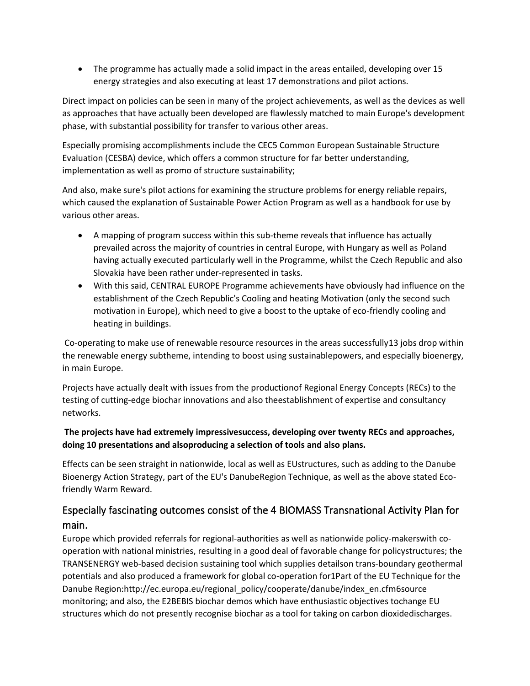• The programme has actually made a solid impact in the areas entailed, developing over 15 energy strategies and also executing at least 17 demonstrations and pilot actions.

Direct impact on policies can be seen in many of the project achievements, as well as the devices as well as approaches that have actually been developed are flawlessly matched to main Europe's development phase, with substantial possibility for transfer to various other areas.

Especially promising accomplishments include the CEC5 Common European Sustainable Structure Evaluation (CESBA) device, which offers a common structure for far better understanding, implementation as well as promo of structure sustainability;

And also, make sure's pilot actions for examining the structure problems for energy reliable repairs, which caused the explanation of Sustainable Power Action Program as well as a handbook for use by various other areas.

- A mapping of program success within this sub-theme reveals that influence has actually prevailed across the majority of countries in central Europe, with Hungary as well as Poland having actually executed particularly well in the Programme, whilst the Czech Republic and also Slovakia have been rather under-represented in tasks.
- With this said, CENTRAL EUROPE Programme achievements have obviously had influence on the establishment of the Czech Republic's Cooling and heating Motivation (only the second such motivation in Europe), which need to give a boost to the uptake of eco-friendly cooling and heating in buildings.

Co-operating to make use of renewable resource resources in the areas successfully13 jobs drop within the renewable energy subtheme, intending to boost using sustainablepowers, and especially bioenergy, in main Europe.

Projects have actually dealt with issues from the productionof Regional Energy Concepts (RECs) to the testing of cutting-edge biochar innovations and also theestablishment of expertise and consultancy networks.

## **The projects have had extremely impressivesuccess, developing over twenty RECs and approaches, doing 10 presentations and alsoproducing a selection of tools and also plans.**

Effects can be seen straight in nationwide, local as well as EUstructures, such as adding to the Danube Bioenergy Action Strategy, part of the EU's DanubeRegion Technique, as well as the above stated Ecofriendly Warm Reward.

## Especially fascinating outcomes consist of the 4 BIOMASS Transnational Activity Plan for main.

Europe which provided referrals for regional-authorities as well as nationwide policy-makerswith cooperation with national ministries, resulting in a good deal of favorable change for policystructures; the TRANSENERGY web-based decision sustaining tool which supplies detailson trans-boundary geothermal potentials and also produced a framework for global co-operation for1Part of the EU Technique for the Danube Region:http://ec.europa.eu/regional\_policy/cooperate/danube/index\_en.cfm6source monitoring; and also, the E2BEBIS biochar demos which have enthusiastic objectives tochange EU structures which do not presently recognise biochar as a tool for taking on carbon dioxidedischarges.